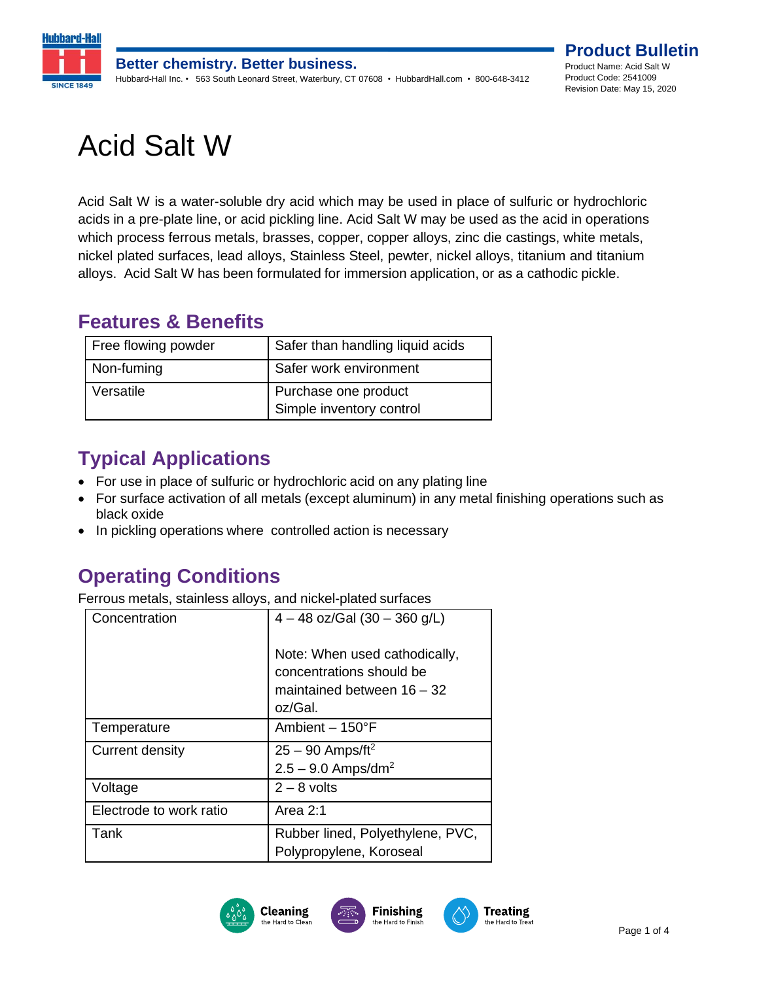

# Acid Salt W

Acid Salt W is a water-soluble dry acid which may be used in place of sulfuric or hydrochloric acids in a pre-plate line, or acid pickling line. Acid Salt W may be used as the acid in operations which process ferrous metals, brasses, copper, copper alloys, zinc die castings, white metals, nickel plated surfaces, lead alloys, Stainless Steel, pewter, nickel alloys, titanium and titanium alloys. Acid Salt W has been formulated for immersion application, or as a cathodic pickle.

#### **Features & Benefits**

| Free flowing powder | Safer than handling liquid acids                 |
|---------------------|--------------------------------------------------|
| Non-fuming          | Safer work environment                           |
| Versatile           | Purchase one product<br>Simple inventory control |

## **Typical Applications**

- For use in place of sulfuric or hydrochloric acid on any plating line
- For surface activation of all metals (except aluminum) in any metal finishing operations such as black oxide
- In pickling operations where controlled action is necessary

## **Operating Conditions**

Ferrous metals, stainless alloys, and nickel-plated surfaces

| Concentration           | $4 - 48$ oz/Gal (30 - 360 g/L)                              |
|-------------------------|-------------------------------------------------------------|
|                         | Note: When used cathodically,<br>concentrations should be   |
|                         | maintained between $16 - 32$                                |
|                         | oz/Gal.                                                     |
| Temperature             | Ambient $-150^{\circ}$ F                                    |
| Current density         | $25 - 90$ Amps/ft <sup>2</sup>                              |
|                         | $2.5 - 9.0$ Amps/dm <sup>2</sup>                            |
| Voltage                 | $2 - 8$ volts                                               |
| Electrode to work ratio | Area 2:1                                                    |
| Tank                    | Rubber lined, Polyethylene, PVC,<br>Polypropylene, Koroseal |
|                         |                                                             |





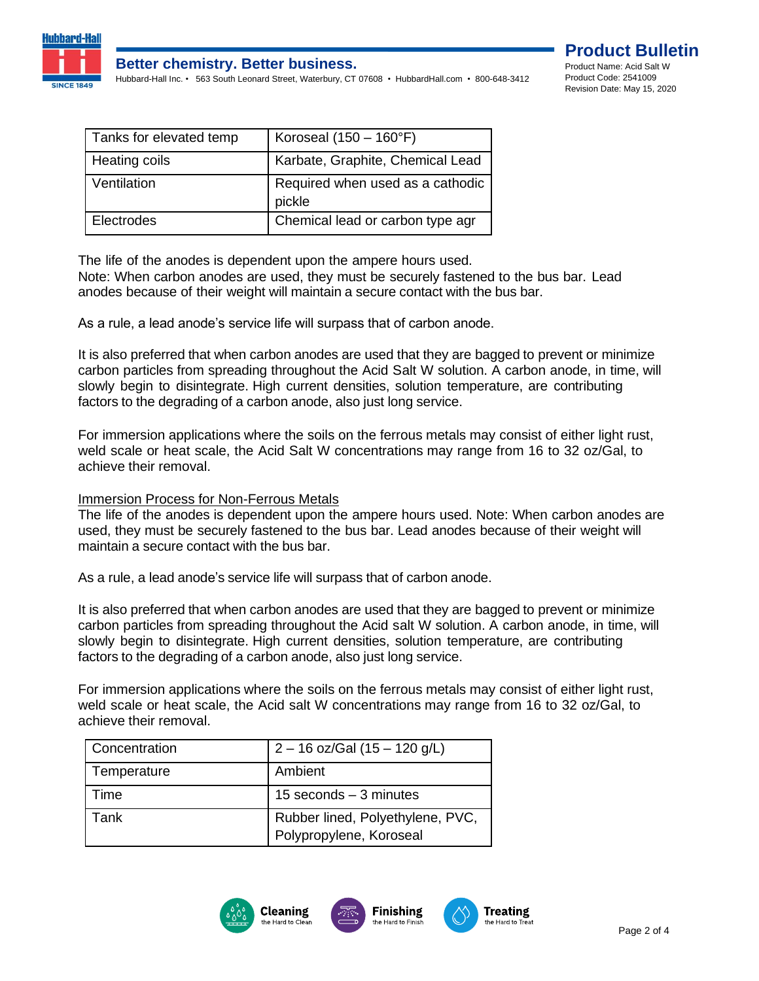

#### **Better chemistry. Better business.**

Hubbard-Hall Inc. • 563 South Leonard Street, Waterbury, CT 07608 • HubbardHall.com • 800-648-3412



| Tanks for elevated temp | Koroseal $(150 - 160$ °F)                  |
|-------------------------|--------------------------------------------|
| Heating coils           | Karbate, Graphite, Chemical Lead           |
| Ventilation             | Required when used as a cathodic<br>pickle |
| Electrodes              | Chemical lead or carbon type agr           |

The life of the anodes is dependent upon the ampere hours used.

Note: When carbon anodes are used, they must be securely fastened to the bus bar. Lead anodes because of their weight will maintain a secure contact with the bus bar.

As a rule, a lead anode's service life will surpass that of carbon anode.

It is also preferred that when carbon anodes are used that they are bagged to prevent or minimize carbon particles from spreading throughout the Acid Salt W solution. A carbon anode, in time, will slowly begin to disintegrate. High current densities, solution temperature, are contributing factors to the degrading of a carbon anode, also just long service.

For immersion applications where the soils on the ferrous metals may consist of either light rust, weld scale or heat scale, the Acid Salt W concentrations may range from 16 to 32 oz/Gal, to achieve their removal.

#### Immersion Process for Non-Ferrous Metals

The life of the anodes is dependent upon the ampere hours used. Note: When carbon anodes are used, they must be securely fastened to the bus bar. Lead anodes because of their weight will maintain a secure contact with the bus bar.

As a rule, a lead anode's service life will surpass that of carbon anode.

It is also preferred that when carbon anodes are used that they are bagged to prevent or minimize carbon particles from spreading throughout the Acid salt W solution. A carbon anode, in time, will slowly begin to disintegrate. High current densities, solution temperature, are contributing factors to the degrading of a carbon anode, also just long service.

For immersion applications where the soils on the ferrous metals may consist of either light rust, weld scale or heat scale, the Acid salt W concentrations may range from 16 to 32 oz/Gal, to achieve their removal.

| <b>Concentration</b> | $2 - 16$ oz/Gal (15 - 120 g/L)   |
|----------------------|----------------------------------|
| Temperature          | Ambient                          |
| Time                 | 15 seconds $-3$ minutes          |
| Tank                 | Rubber lined, Polyethylene, PVC, |
|                      | Polypropylene, Koroseal          |

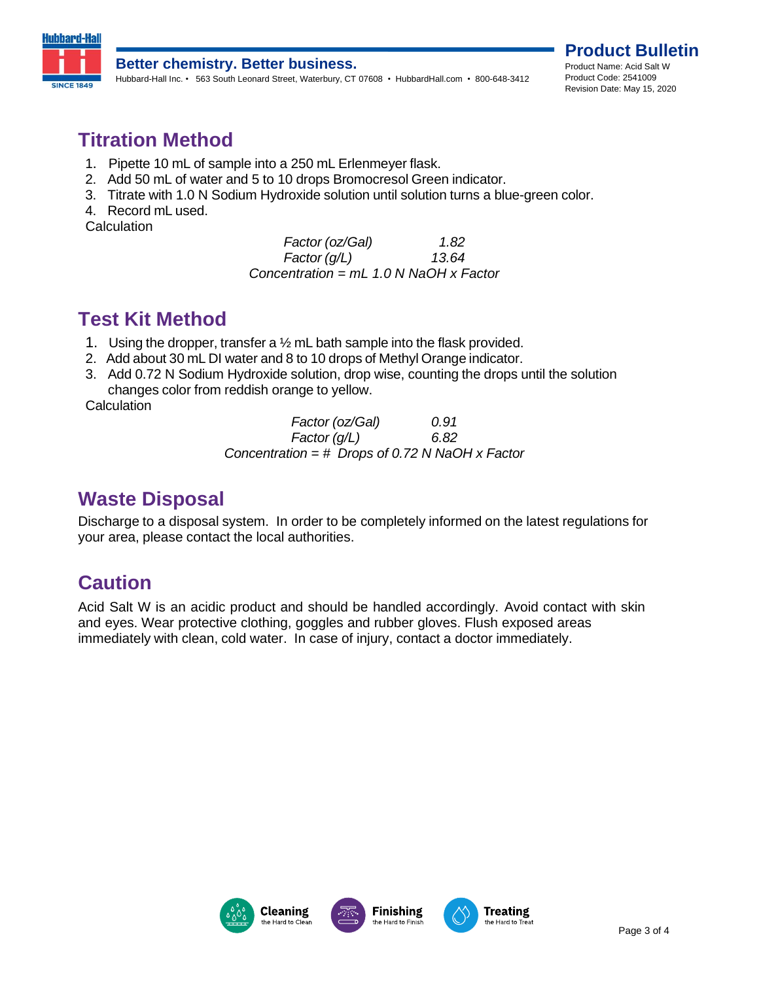

#### **Better chemistry. Better business.**

Hubbard-Hall Inc. • 563 South Leonard Street, Waterbury, CT 07608 • HubbardHall.com • 800-648-3412

**Product Bulletin** Product Name: Acid Salt W Product Code: 2541009 Revision Date: May 15, 2020

#### **Titration Method**

- 1. Pipette 10 mL of sample into a 250 mL Erlenmeyer flask.
- 2. Add 50 mL of water and 5 to 10 drops Bromocresol Green indicator.
- 3. Titrate with 1.0 N Sodium Hydroxide solution until solution turns a blue-green color.
- 4. Record mL used.

**Calculation** 

*Factor* (*oz*/*Gal*) **001.82** *Factor (g/L) 13.64 Concentration = mL 1.0 N NaOH x Factor*

### **Test Kit Method**

- 1. Using the dropper, transfer a  $\frac{1}{2}$  mL bath sample into the flask provided.
- 2. Add about 30 mL DI water and 8 to 10 drops of Methyl Orange indicator.
- 3. Add 0.72 N Sodium Hydroxide solution, drop wise, counting the drops until the solution changes color from reddish orange to yellow.

**Calculation** 

*Factor (oz/Gal) 0.91 Factor (g/L) 6.82 Concentration = # Drops of 0.72 N NaOH x Factor*

#### **Waste Disposal**

Discharge to a disposal system. In order to be completely informed on the latest regulations for your area, please contact the local authorities.

### **Caution**

Acid Salt W is an acidic product and should be handled accordingly. Avoid contact with skin and eyes. Wear protective clothing, goggles and rubber gloves. Flush exposed areas immediately with clean, cold water. In case of injury, contact a doctor immediately.